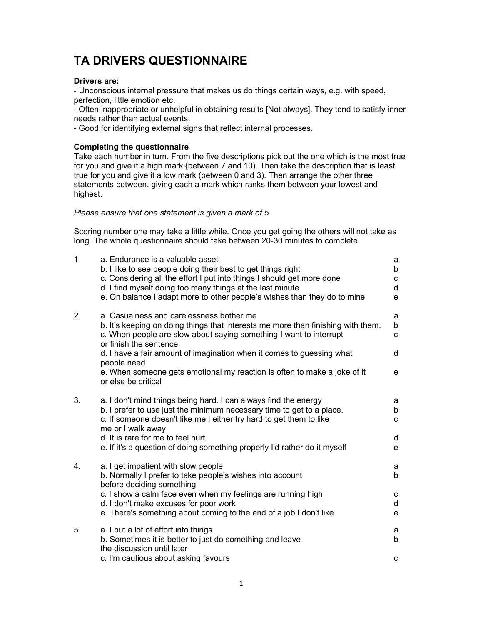# TA DRIVERS QUESTIONNAIRE

#### Drivers are:

- Unconscious internal pressure that makes us do things certain ways, e.g. with speed, perfection, little emotion etc.

- Often inappropriate or unhelpful in obtaining results [Not always]. They tend to satisfy inner needs rather than actual events.

- Good for identifying external signs that reflect internal processes.

# Completing the questionnaire

Take each number in turn. From the five descriptions pick out the one which is the most true for you and give it a high mark {between 7 and 10). Then take the description that is least true for you and give it a low mark (between 0 and 3). Then arrange the other three statements between, giving each a mark which ranks them between your lowest and highest.

#### Please ensure that one statement is given a mark of 5.

Scoring number one may take a little while. Once you get going the others will not take as long. The whole questionnaire should take between 20-30 minutes to complete.

| $\mathbf{1}$ | a. Endurance is a valuable asset<br>b. I like to see people doing their best to get things right<br>c. Considering all the effort I put into things I should get more done<br>d. I find myself doing too many things at the last minute<br>e. On balance I adapt more to other people's wishes than they do to mine | a<br>b<br>C<br>d<br>e |
|--------------|---------------------------------------------------------------------------------------------------------------------------------------------------------------------------------------------------------------------------------------------------------------------------------------------------------------------|-----------------------|
| 2.           | a. Casualness and carelessness bother me<br>b. It's keeping on doing things that interests me more than finishing with them.<br>c. When people are slow about saying something I want to interrupt<br>or finish the sentence                                                                                        | a<br>b<br>C           |
|              | d. I have a fair amount of imagination when it comes to guessing what                                                                                                                                                                                                                                               | d                     |
|              | people need<br>e. When someone gets emotional my reaction is often to make a joke of it<br>or else be critical                                                                                                                                                                                                      | e                     |
| 3.           | a. I don't mind things being hard. I can always find the energy<br>b. I prefer to use just the minimum necessary time to get to a place.<br>c. If someone doesn't like me I either try hard to get them to like<br>me or I walk away                                                                                | а<br>b<br>C           |
|              | d. It is rare for me to feel hurt<br>e. If it's a question of doing something properly I'd rather do it myself                                                                                                                                                                                                      | d<br>e                |
| 4.           | a. I get impatient with slow people<br>b. Normally I prefer to take people's wishes into account<br>before deciding something                                                                                                                                                                                       | a<br>b                |
|              | c. I show a calm face even when my feelings are running high                                                                                                                                                                                                                                                        | С                     |
|              | d. I don't make excuses for poor work<br>e. There's something about coming to the end of a job I don't like                                                                                                                                                                                                         | d<br>e                |
| 5.           | a. I put a lot of effort into things<br>b. Sometimes it is better to just do something and leave<br>the discussion until later                                                                                                                                                                                      | a<br>b                |
|              | c. I'm cautious about asking favours                                                                                                                                                                                                                                                                                | C                     |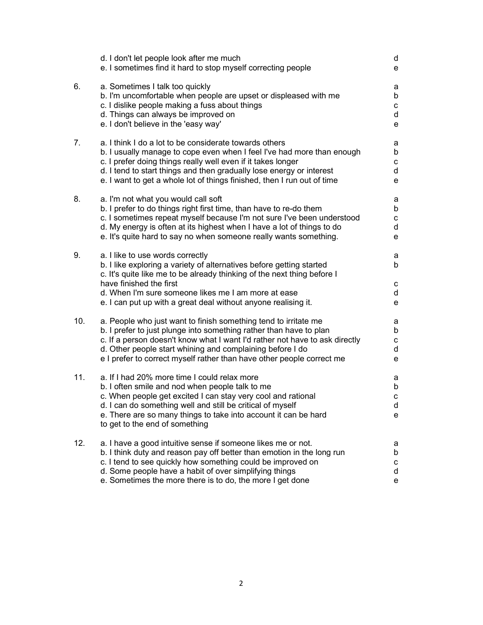|     | d. I don't let people look after me much<br>e. I sometimes find it hard to stop myself correcting people                                                                                                                                                                                                                                                   | d<br>e                |
|-----|------------------------------------------------------------------------------------------------------------------------------------------------------------------------------------------------------------------------------------------------------------------------------------------------------------------------------------------------------------|-----------------------|
| 6.  | a. Sometimes I talk too quickly<br>b. I'm uncomfortable when people are upset or displeased with me<br>c. I dislike people making a fuss about things<br>d. Things can always be improved on<br>e. I don't believe in the 'easy way'                                                                                                                       | а<br>b<br>с<br>d<br>e |
| 7.  | a. I think I do a lot to be considerate towards others<br>b. I usually manage to cope even when I feel I've had more than enough<br>c. I prefer doing things really well even if it takes longer<br>d. I tend to start things and then gradually lose energy or interest<br>e. I want to get a whole lot of things finished, then I run out of time        | a<br>b<br>c<br>d<br>e |
| 8.  | a. I'm not what you would call soft<br>b. I prefer to do things right first time, than have to re-do them<br>c. I sometimes repeat myself because I'm not sure I've been understood<br>d. My energy is often at its highest when I have a lot of things to do<br>e. It's quite hard to say no when someone really wants something.                         | а<br>b<br>с<br>d<br>е |
| 9.  | a. I like to use words correctly<br>b. I like exploring a variety of alternatives before getting started<br>c. It's quite like me to be already thinking of the next thing before I<br>have finished the first<br>d. When I'm sure someone likes me I am more at ease<br>e. I can put up with a great deal without anyone realising it.                    | a<br>b<br>с<br>d<br>е |
| 10. | a. People who just want to finish something tend to irritate me<br>b. I prefer to just plunge into something rather than have to plan<br>c. If a person doesn't know what I want I'd rather not have to ask directly<br>d. Other people start whining and complaining before I do<br>e I prefer to correct myself rather than have other people correct me | a<br>b<br>с<br>d<br>е |
| 11. | a. If I had 20% more time I could relax more<br>b. I often smile and nod when people talk to me<br>c. When people get excited I can stay very cool and rational<br>d. I can do something well and still be critical of myself<br>e. There are so many things to take into account it can be hard<br>to get to the end of something                         | а<br>b<br>С<br>d<br>е |
| 12. | a. I have a good intuitive sense if someone likes me or not.<br>b. I think duty and reason pay off better than emotion in the long run<br>c. I tend to see quickly how something could be improved on<br>d. Some people have a habit of over simplifying things<br>e. Sometimes the more there is to do, the more I get done                               | а<br>b<br>с<br>d<br>е |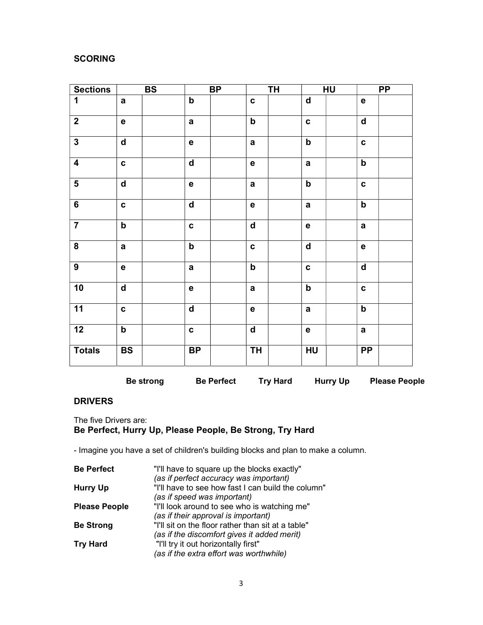# **SCORING**

| <b>Sections</b>         |                         | <b>BS</b> |              | BP |                             | <b>TH</b> |                             | HU |                             | <b>PP</b> |
|-------------------------|-------------------------|-----------|--------------|----|-----------------------------|-----------|-----------------------------|----|-----------------------------|-----------|
| 1                       | $\mathbf a$             |           | $\mathbf b$  |    | $\mathbf{c}$                |           | $\operatorname{\mathsf{d}}$ |    | $\mathbf e$                 |           |
| $\overline{2}$          | $\mathbf e$             |           | $\mathbf a$  |    | ${\sf b}$                   |           | $\mathbf c$                 |    | $\overline{\mathbf{d}}$     |           |
| $\overline{\mathbf{3}}$ | $\mathsf{d}$            |           | e            |    | $\mathbf a$                 |           | $\boldsymbol{\mathsf{b}}$   |    | C                           |           |
| $\overline{4}$          | $\mathbf c$             |           | $\mathsf{d}$ |    | $\mathbf e$                 |           | $\mathbf a$                 |    | $\boldsymbol{\mathsf{b}}$   |           |
| $\overline{\mathbf{5}}$ | $\overline{\mathsf{d}}$ |           | e            |    | $\mathbf a$                 |           | $\overline{\mathbf{b}}$     |    | $\mathbf c$                 |           |
| $6\phantom{a}$          | $\mathbf c$             |           | $\mathsf{d}$ |    | $\mathbf e$                 |           | $\mathbf a$                 |    | $\mathbf b$                 |           |
| $\overline{7}$          | $\mathsf b$             |           | $\mathbf c$  |    | $\operatorname{\mathsf{d}}$ |           | e                           |    | $\mathbf a$                 |           |
| ${\bf 8}$               | $\mathbf a$             |           | $\mathbf b$  |    | $\mathbf{C}$                |           | $\operatorname{\mathsf{d}}$ |    | e                           |           |
| $\overline{9}$          | $\mathbf e$             |           | $\mathbf a$  |    | ${\sf b}$                   |           | $\mathbf c$                 |    | $\operatorname{\mathsf{d}}$ |           |
| 10                      | $\overline{\mathsf{d}}$ |           | e            |    | $\mathbf a$                 |           | $\overline{b}$              |    | $\mathbf c$                 |           |
| 11                      | $\mathbf c$             |           | $\mathbf d$  |    | $\mathbf e$                 |           | $\mathbf a$                 |    | b                           |           |
| $\overline{12}$         | $\mathsf b$             |           | $\mathbf c$  |    | $\operatorname{\mathsf{d}}$ |           | $\mathbf e$                 |    | $\mathbf a$                 |           |
| <b>Totals</b>           | <b>BS</b>               |           | <b>BP</b>    |    | <b>TH</b>                   |           | HU                          |    | <b>PP</b>                   |           |

Be strong Be Perfect Try Hard Hurry Up Please People

# DRIVERS

The five Drivers are: Be Perfect, Hurry Up, Please People, Be Strong, Try Hard

- Imagine you have a set of children's building blocks and plan to make a column.

| <b>Be Perfect</b>    | "I'll have to square up the blocks exactly"        |
|----------------------|----------------------------------------------------|
|                      | (as if perfect accuracy was important)             |
| <b>Hurry Up</b>      | "I'll have to see how fast I can build the column" |
|                      | (as if speed was important)                        |
| <b>Please People</b> | "I'll look around to see who is watching me"       |
|                      | (as if their approval is important)                |
| <b>Be Strong</b>     | "I'll sit on the floor rather than sit at a table" |
|                      | (as if the discomfort gives it added merit)        |
| <b>Try Hard</b>      | "I'll try it out horizontally first"               |
|                      | (as if the extra effort was worthwhile)            |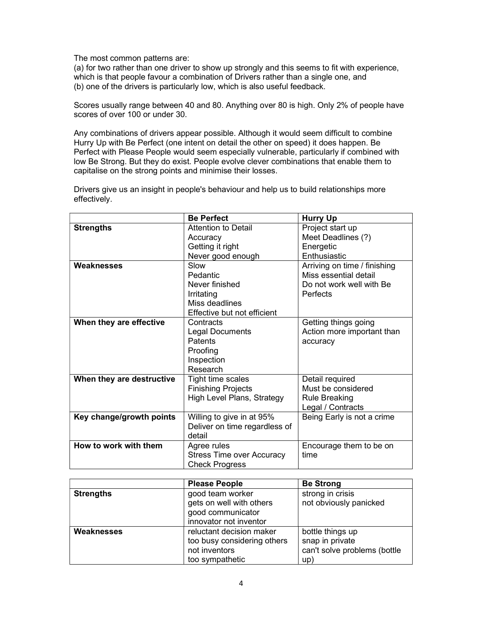The most common patterns are:

(a) for two rather than one driver to show up strongly and this seems to fit with experience, which is that people favour a combination of Drivers rather than a single one, and (b) one of the drivers is particularly low, which is also useful feedback.

Scores usually range between 40 and 80. Anything over 80 is high. Only 2% of people have scores of over 100 or under 30.

Any combinations of drivers appear possible. Although it would seem difficult to combine Hurry Up with Be Perfect (one intent on detail the other on speed) it does happen. Be Perfect with Please People would seem especially vulnerable, particularly if combined with low Be Strong. But they do exist. People evolve clever combinations that enable them to capitalise on the strong points and minimise their losses.

Drivers give us an insight in people's behaviour and help us to build relationships more effectively.

|                           | <b>Be Perfect</b>                | <b>Hurry Up</b>              |
|---------------------------|----------------------------------|------------------------------|
| <b>Strengths</b>          | Attention to Detail              | Project start up             |
|                           | Accuracy                         | Meet Deadlines (?)           |
|                           | Getting it right                 | Energetic                    |
|                           | Never good enough                | Enthusiastic                 |
| Weaknesses                | Slow                             | Arriving on time / finishing |
|                           | Pedantic                         | Miss essential detail        |
|                           | Never finished                   | Do not work well with Be     |
|                           | Irritating                       | Perfects                     |
|                           | Miss deadlines                   |                              |
|                           | Effective but not efficient      |                              |
| When they are effective   | Contracts                        | Getting things going         |
|                           | <b>Legal Documents</b>           | Action more important than   |
|                           | Patents                          | accuracy                     |
|                           | Proofing                         |                              |
|                           | Inspection                       |                              |
|                           | Research                         |                              |
| When they are destructive | Tight time scales                | Detail required              |
|                           | <b>Finishing Projects</b>        | Must be considered           |
|                           | High Level Plans, Strategy       | <b>Rule Breaking</b>         |
|                           |                                  | Legal / Contracts            |
| Key change/growth points  | Willing to give in at 95%        | Being Early is not a crime   |
|                           | Deliver on time regardless of    |                              |
|                           | detail                           |                              |
| How to work with them     | Agree rules                      | Encourage them to be on      |
|                           | <b>Stress Time over Accuracy</b> | time                         |
|                           | <b>Check Progress</b>            |                              |

|                  | <b>Please People</b>        | <b>Be Strong</b>             |  |
|------------------|-----------------------------|------------------------------|--|
| <b>Strengths</b> | good team worker            | strong in crisis             |  |
|                  | gets on well with others    | not obviously panicked       |  |
|                  | good communicator           |                              |  |
|                  | innovator not inventor      |                              |  |
| Weaknesses       | reluctant decision maker    | bottle things up             |  |
|                  | too busy considering others | snap in private              |  |
|                  | not inventors               | can't solve problems (bottle |  |
|                  | too sympathetic             | up)                          |  |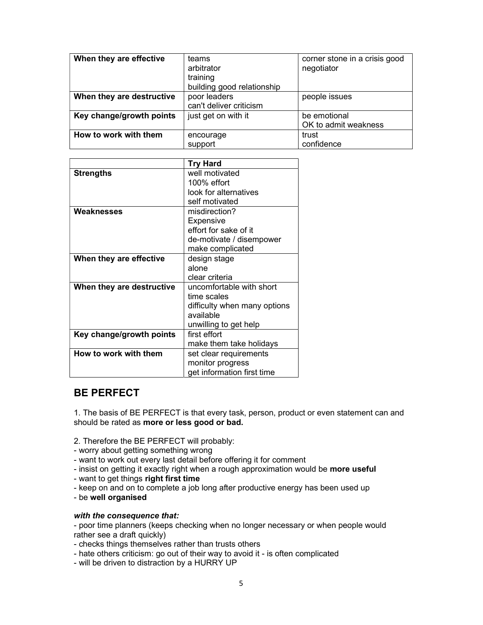| When they are effective   | teams<br>arbitrator<br>training<br>building good relationship | corner stone in a crisis good<br>negotiator |
|---------------------------|---------------------------------------------------------------|---------------------------------------------|
| When they are destructive | poor leaders<br>can't deliver criticism                       | people issues                               |
| Key change/growth points  | just get on with it                                           | be emotional<br>OK to admit weakness        |
| How to work with them     | encourage<br>support                                          | trust<br>confidence                         |

|                           | <b>Try Hard</b>              |
|---------------------------|------------------------------|
|                           | well motivated               |
| <b>Strengths</b>          |                              |
|                           | $100\%$ effort               |
|                           | look for alternatives        |
|                           | self motivated               |
| Weaknesses                | misdirection?                |
|                           | Expensive                    |
|                           | effort for sake of it        |
|                           | de-motivate / disempower     |
|                           | make complicated             |
| When they are effective   | design stage                 |
|                           | alone                        |
|                           | clear criteria               |
| When they are destructive | uncomfortable with short     |
|                           | time scales                  |
|                           | difficulty when many options |
|                           | available                    |
|                           | unwilling to get help        |
| Key change/growth points  | first effort                 |
|                           | make them take holidays      |
| How to work with them     | set clear requirements       |
|                           | monitor progress             |
|                           | get information first time   |

# BE PERFECT

1. The basis of BE PERFECT is that every task, person, product or even statement can and should be rated as more or less good or bad.

2. Therefore the BE PERFECT will probably:

- worry about getting something wrong
- want to work out every last detail before offering it for comment
- insist on getting it exactly right when a rough approximation would be more useful
- want to get things right first time
- keep on and on to complete a job long after productive energy has been used up
- be well organised

#### with the consequence that:

- poor time planners (keeps checking when no longer necessary or when people would rather see a draft quickly)

- checks things themselves rather than trusts others
- hate others criticism: go out of their way to avoid it is often complicated
- will be driven to distraction by a HURRY UP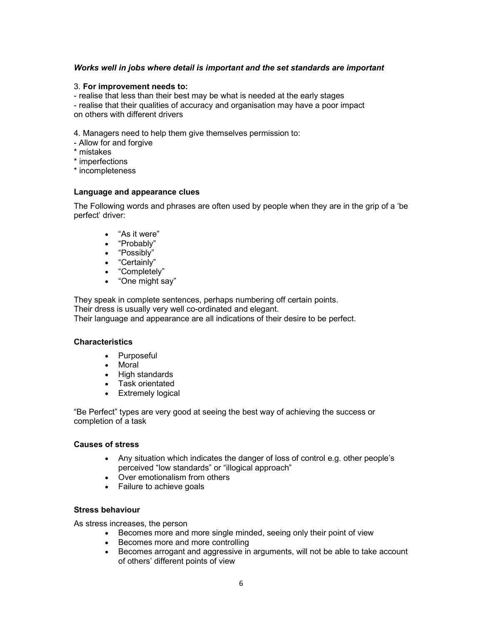# Works well in jobs where detail is important and the set standards are important

#### 3. For improvement needs to:

- realise that less than their best may be what is needed at the early stages

- realise that their qualities of accuracy and organisation may have a poor impact on others with different drivers

4. Managers need to help them give themselves permission to:

- Allow for and forgive
- \* mistakes
- \* imperfections
- \* incompleteness

#### Language and appearance clues

The Following words and phrases are often used by people when they are in the grip of a 'be perfect' driver:

- "As it were"
- "Probably"
- "Possibly"
- "Certainly"
- "Completely"
- "One might say"

They speak in complete sentences, perhaps numbering off certain points.

Their dress is usually very well co-ordinated and elegant.

Their language and appearance are all indications of their desire to be perfect.

#### **Characteristics**

- Purposeful
- Moral
- High standards
- Task orientated
- Extremely logical

"Be Perfect" types are very good at seeing the best way of achieving the success or completion of a task

#### Causes of stress

- Any situation which indicates the danger of loss of control e.g. other people's perceived "low standards" or "illogical approach"
- Over emotionalism from others
- Failure to achieve goals

# Stress behaviour

As stress increases, the person

- Becomes more and more single minded, seeing only their point of view
- Becomes more and more controlling
- Becomes arrogant and aggressive in arguments, will not be able to take account of others' different points of view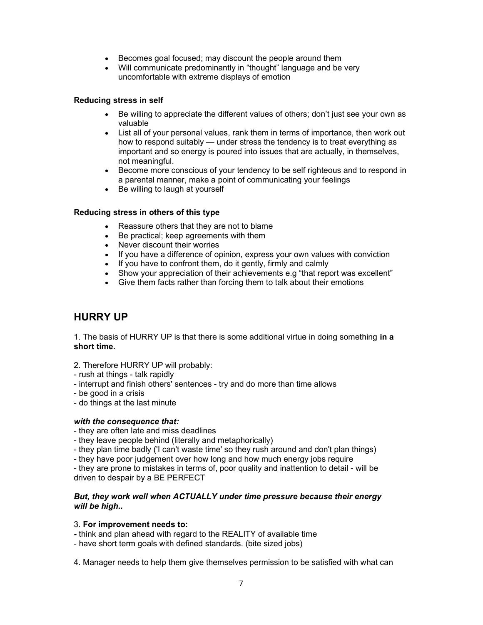- Becomes goal focused; may discount the people around them
- Will communicate predominantly in "thought" language and be very uncomfortable with extreme displays of emotion

# Reducing stress in self

- Be willing to appreciate the different values of others; don't just see your own as valuable
- List all of your personal values, rank them in terms of importance, then work out how to respond suitably — under stress the tendency is to treat everything as important and so energy is poured into issues that are actually, in themselves, not meaningful.
- Become more conscious of your tendency to be self righteous and to respond in a parental manner, make a point of communicating your feelings
- Be willing to laugh at yourself

# Reducing stress in others of this type

- Reassure others that they are not to blame
- Be practical; keep agreements with them
- Never discount their worries
- If you have a difference of opinion, express your own values with conviction
- If you have to confront them, do it gently, firmly and calmly
- Show your appreciation of their achievements e.g "that report was excellent"
- Give them facts rather than forcing them to talk about their emotions

# HURRY UP

1. The basis of HURRY UP is that there is some additional virtue in doing something in a short time.

- 2. Therefore HURRY UP will probably:
- rush at things talk rapidly
- interrupt and finish others' sentences try and do more than time allows
- be good in a crisis
- do things at the last minute

#### with the consequence that:

- they are often late and miss deadlines
- they leave people behind (literally and metaphorically)
- they plan time badly ('I can't waste time' so they rush around and don't plan things)
- they have poor judgement over how long and how much energy jobs require

- they are prone to mistakes in terms of, poor quality and inattention to detail - will be driven to despair by a BE PERFECT

#### But, they work well when ACTUALLY under time pressure because their energy will be high..

#### 3. For improvement needs to:

- think and plan ahead with regard to the REALITY of available time

- have short term goals with defined standards. (bite sized jobs)
- 4. Manager needs to help them give themselves permission to be satisfied with what can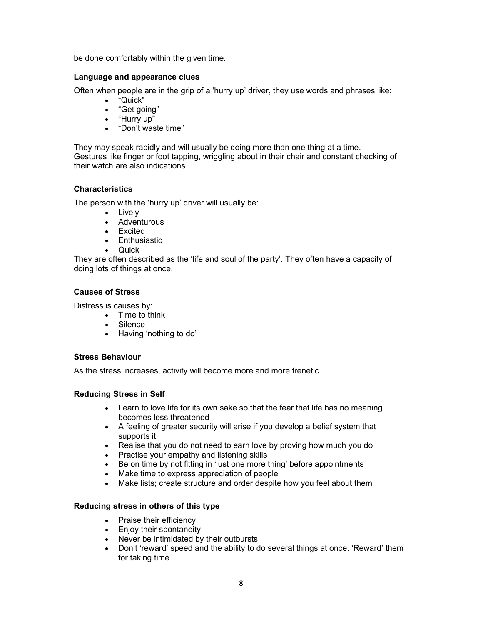be done comfortably within the given time.

# Language and appearance clues

Often when people are in the grip of a 'hurry up' driver, they use words and phrases like:

- "Quick"
- "Get going"
- "Hurry up"
- "Don't waste time"

They may speak rapidly and will usually be doing more than one thing at a time. Gestures like finger or foot tapping, wriggling about in their chair and constant checking of their watch are also indications.

# **Characteristics**

The person with the 'hurry up' driver will usually be:

- Lively
- Adventurous
- Excited
- Enthusiastic
- $\bullet$  Quick

They are often described as the 'life and soul of the party'. They often have a capacity of doing lots of things at once.

# Causes of Stress

Distress is causes by:

- Time to think
- Silence
- Having 'nothing to do'

# Stress Behaviour

As the stress increases, activity will become more and more frenetic.

# Reducing Stress in Self

- Learn to love life for its own sake so that the fear that life has no meaning becomes less threatened
- A feeling of greater security will arise if you develop a belief system that supports it
- Realise that you do not need to earn love by proving how much you do
- Practise your empathy and listening skills
- Be on time by not fitting in 'just one more thing' before appointments
- Make time to express appreciation of people
- Make lists; create structure and order despite how you feel about them

# Reducing stress in others of this type

- Praise their efficiency
- Enjoy their spontaneity
- Never be intimidated by their outbursts
- Don't 'reward' speed and the ability to do several things at once. 'Reward' them for taking time.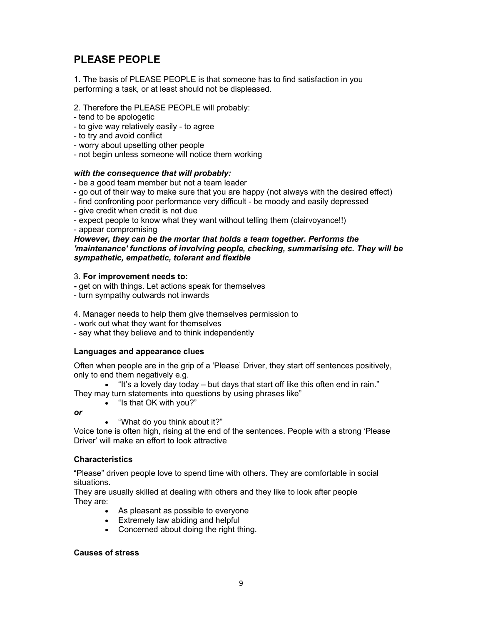# PLEASE PEOPLE

1. The basis of PLEASE PEOPLE is that someone has to find satisfaction in you performing a task, or at least should not be displeased.

2. Therefore the PLEASE PEOPLE will probably:

- tend to be apologetic
- to give way relatively easily to agree
- to try and avoid conflict
- worry about upsetting other people
- not begin unless someone will notice them working

#### with the consequence that will probably:

- be a good team member but not a team leader
- go out of their way to make sure that you are happy (not always with the desired effect)
- find confronting poor performance very difficult be moody and easily depressed
- give credit when credit is not due
- expect people to know what they want without telling them (clairvoyance!!)
- appear compromising

However, they can be the mortar that holds a team together. Performs the 'maintenance' functions of involving people, checking, summarising etc. They will be sympathetic, empathetic, tolerant and flexible

#### 3. For improvement needs to:

- get on with things. Let actions speak for themselves
- turn sympathy outwards not inwards

4. Manager needs to help them give themselves permission to

- work out what they want for themselves
- say what they believe and to think independently

# Languages and appearance clues

Often when people are in the grip of a 'Please' Driver, they start off sentences positively, only to end them negatively e.g.

"It's a lovely day today – but days that start off like this often end in rain."

They may turn statements into questions by using phrases like"

- "Is that OK with you?"
- or
- "What do you think about it?"

Voice tone is often high, rising at the end of the sentences. People with a strong 'Please Driver' will make an effort to look attractive

# **Characteristics**

"Please" driven people love to spend time with others. They are comfortable in social situations.

They are usually skilled at dealing with others and they like to look after people They are:

- As pleasant as possible to everyone
- Extremely law abiding and helpful
- Concerned about doing the right thing.

#### Causes of stress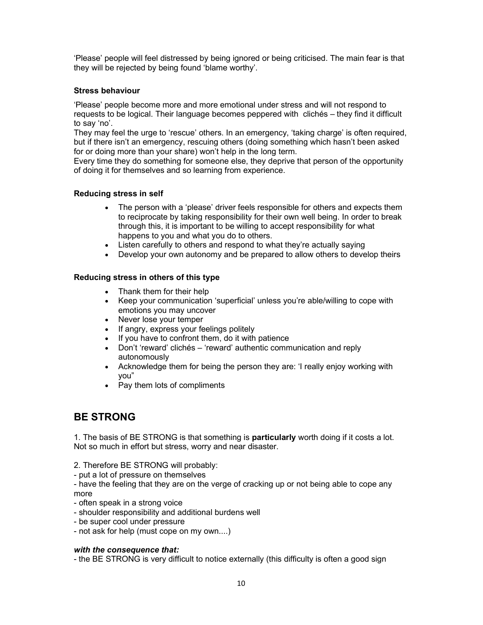'Please' people will feel distressed by being ignored or being criticised. The main fear is that they will be rejected by being found 'blame worthy'.

# Stress behaviour

'Please' people become more and more emotional under stress and will not respond to requests to be logical. Their language becomes peppered with clichés – they find it difficult to say 'no'.

They may feel the urge to 'rescue' others. In an emergency, 'taking charge' is often required, but if there isn't an emergency, rescuing others (doing something which hasn't been asked for or doing more than your share) won't help in the long term.

Every time they do something for someone else, they deprive that person of the opportunity of doing it for themselves and so learning from experience.

# Reducing stress in self

- The person with a 'please' driver feels responsible for others and expects them to reciprocate by taking responsibility for their own well being. In order to break through this, it is important to be willing to accept responsibility for what happens to you and what you do to others.
- Listen carefully to others and respond to what they're actually saying
- Develop your own autonomy and be prepared to allow others to develop theirs

# Reducing stress in others of this type

- Thank them for their help
- Keep your communication 'superficial' unless you're able/willing to cope with emotions you may uncover
- Never lose your temper
- If angry, express your feelings politely
- If you have to confront them, do it with patience
- Don't 'reward' clichés 'reward' authentic communication and reply autonomously
- Acknowledge them for being the person they are: 'I really enjoy working with you"
- Pay them lots of compliments

# BE STRONG

1. The basis of BE STRONG is that something is **particularly** worth doing if it costs a lot. Not so much in effort but stress, worry and near disaster.

- 2. Therefore BE STRONG will probably:
- put a lot of pressure on themselves

- have the feeling that they are on the verge of cracking up or not being able to cope any more

- often speak in a strong voice
- shoulder responsibility and additional burdens well
- be super cool under pressure
- not ask for help (must cope on my own....)

# with the consequence that:

- the BE STRONG is very difficult to notice externally (this difficulty is often a good sign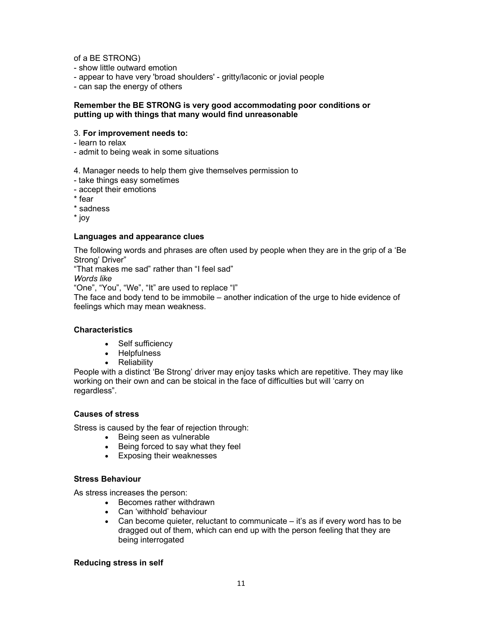of a BE STRONG)

- show little outward emotion
- appear to have very 'broad shoulders' gritty/laconic or jovial people

- can sap the energy of others

#### Remember the BE STRONG is very good accommodating poor conditions or putting up with things that many would find unreasonable

#### 3. For improvement needs to:

- learn to relax
- admit to being weak in some situations

4. Manager needs to help them give themselves permission to

- take things easy sometimes
- accept their emotions
- \* fear

\* sadness

\* joy

#### Languages and appearance clues

The following words and phrases are often used by people when they are in the grip of a 'Be Strong' Driver"

"That makes me sad" rather than "I feel sad"

Words like

"One", "You", "We", "It" are used to replace "I"

The face and body tend to be immobile – another indication of the urge to hide evidence of feelings which may mean weakness.

# **Characteristics**

- Self sufficiency
- Helpfulness
- Reliability

People with a distinct 'Be Strong' driver may enjoy tasks which are repetitive. They may like working on their own and can be stoical in the face of difficulties but will 'carry on regardless".

# Causes of stress

Stress is caused by the fear of rejection through:

- Being seen as vulnerable
- Being forced to say what they feel
- Exposing their weaknesses

# Stress Behaviour

As stress increases the person:

- Becomes rather withdrawn
- Can 'withhold' behaviour
- Can become quieter, reluctant to communicate  $-$  it's as if every word has to be dragged out of them, which can end up with the person feeling that they are being interrogated

#### Reducing stress in self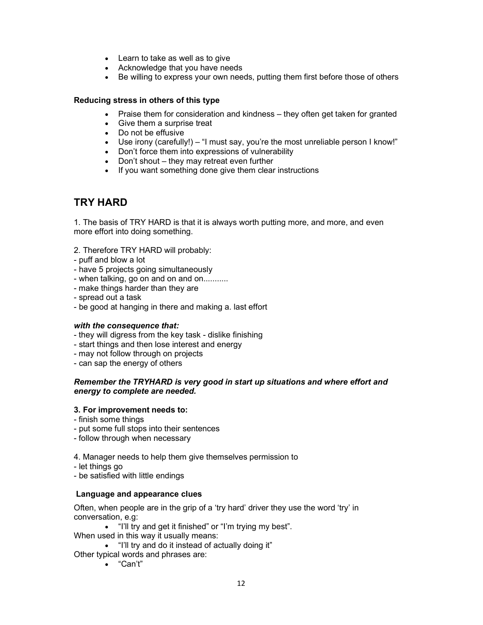- Learn to take as well as to give
- Acknowledge that you have needs
- Be willing to express your own needs, putting them first before those of others

# Reducing stress in others of this type

- Praise them for consideration and kindness they often get taken for granted
- Give them a surprise treat
- Do not be effusive
- Use irony (carefully!) "I must say, you're the most unreliable person I know!"
- Don't force them into expressions of vulnerability
- Don't shout they may retreat even further
- If you want something done give them clear instructions

# TRY HARD

1. The basis of TRY HARD is that it is always worth putting more, and more, and even more effort into doing something.

- 2. Therefore TRY HARD will probably:
- puff and blow a lot
- have 5 projects going simultaneously
- when talking, go on and on and on...........
- make things harder than they are
- spread out a task
- be good at hanging in there and making a. last effort

#### with the consequence that:

- they will digress from the key task dislike finishing
- start things and then lose interest and energy
- may not follow through on projects
- can sap the energy of others

#### Remember the TRYHARD is very good in start up situations and where effort and energy to complete are needed.

#### 3. For improvement needs to:

- finish some things
- put some full stops into their sentences
- follow through when necessary

4. Manager needs to help them give themselves permission to

- let things go

- be satisfied with little endings

#### Language and appearance clues

Often, when people are in the grip of a 'try hard' driver they use the word 'try' in conversation, e.g:

- . "I'll try and get it finished" or "I'm trying my best".
- When used in this way it usually means:
- "I'll try and do it instead of actually doing it"
- Other typical words and phrases are:
	- "Can't"